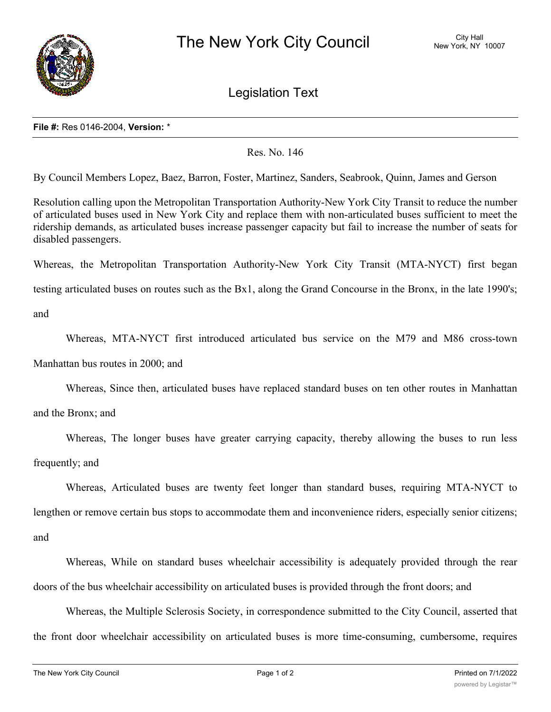

Legislation Text

## **File #:** Res 0146-2004, **Version:** \*

Res. No. 146

By Council Members Lopez, Baez, Barron, Foster, Martinez, Sanders, Seabrook, Quinn, James and Gerson

Resolution calling upon the Metropolitan Transportation Authority-New York City Transit to reduce the number of articulated buses used in New York City and replace them with non-articulated buses sufficient to meet the ridership demands, as articulated buses increase passenger capacity but fail to increase the number of seats for disabled passengers.

Whereas, the Metropolitan Transportation Authority-New York City Transit (MTA-NYCT) first began

testing articulated buses on routes such as the Bx1, along the Grand Concourse in the Bronx, in the late 1990's;

and

Whereas, MTA-NYCT first introduced articulated bus service on the M79 and M86 cross-town

Manhattan bus routes in 2000; and

Whereas, Since then, articulated buses have replaced standard buses on ten other routes in Manhattan

and the Bronx; and

Whereas, The longer buses have greater carrying capacity, thereby allowing the buses to run less frequently; and

Whereas, Articulated buses are twenty feet longer than standard buses, requiring MTA-NYCT to lengthen or remove certain bus stops to accommodate them and inconvenience riders, especially senior citizens; and

Whereas, While on standard buses wheelchair accessibility is adequately provided through the rear doors of the bus wheelchair accessibility on articulated buses is provided through the front doors; and

Whereas, the Multiple Sclerosis Society, in correspondence submitted to the City Council, asserted that the front door wheelchair accessibility on articulated buses is more time-consuming, cumbersome, requires